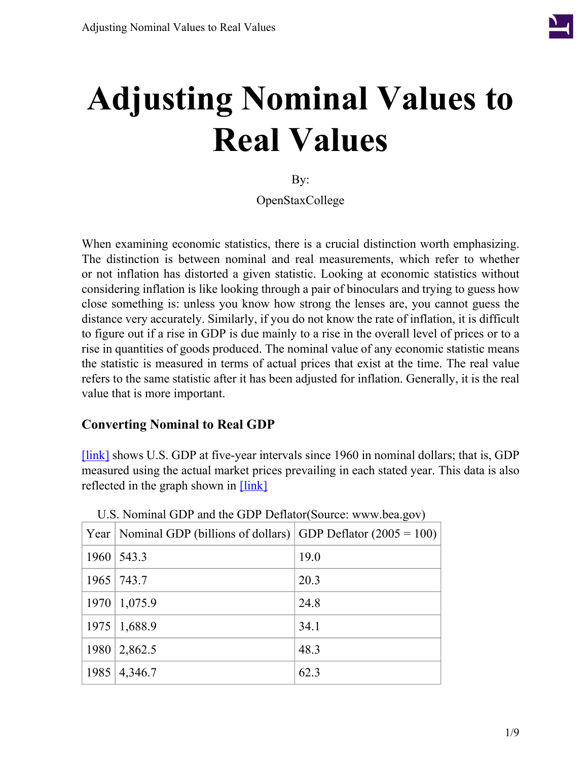

# **Adjusting Nominal Values to Real Values**

By:

OpenStaxCollege

When examining economic statistics, there is a crucial distinction worth emphasizing. The distinction is between nominal and real measurements, which refer to whether or not inflation has distorted a given statistic. Looking at economic statistics without considering inflation is like looking through a pair of binoculars and trying to guess how close something is: unless you know how strong the lenses are, you cannot guess the distance very accurately. Similarly, if you do not know the rate of inflation, it is difficult to figure out if a rise in GDP is due mainly to a rise in the overall level of prices or to a rise in quantities of goods produced. The nominal value of any economic statistic means the statistic is measured in terms of actual prices that exist at the time. The real value refers to the same statistic after it has been adjusted for inflation. Generally, it is the real value that is more important.

### **Converting Nominal to Real GDP**

[\[link\]](#page-0-0) shows U.S. GDP at five-year intervals since 1960 in nominal dollars; that is, GDP measured using the actual market prices prevailing in each stated year. This data is also reflected in the graph shown in [\[link\]](#page-1-0)

<span id="page-0-0"></span>

|      | Year   Nominal GDP (billions of dollars)   GDP Deflator (2005 = 100) |      |
|------|----------------------------------------------------------------------|------|
|      | $1960 \mid 543.3$                                                    | 19.0 |
|      | 1965 743.7                                                           | 20.3 |
|      | 1970   1,075.9                                                       | 24.8 |
|      | $1975 \mid 1,688.9$                                                  | 34.1 |
| 1980 | 2,862.5                                                              | 48.3 |
|      | $1985 \mid 4,346.7$                                                  | 62.3 |

U.S. Nominal GDP and the GDP Deflator(Source: www.bea.gov)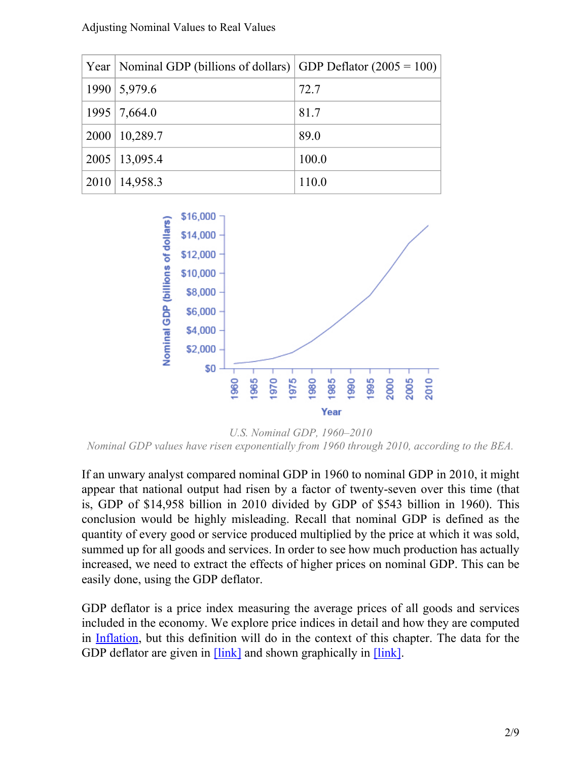#### Adjusting Nominal Values to Real Values

| Year   Nominal GDP (billions of dollars)   GDP Deflator $(2005 = 100)$ |       |
|------------------------------------------------------------------------|-------|
| 1990   5,979.6                                                         | 72.7  |
| $1995$   7,664.0                                                       | 81.7  |
| $2000 \mid 10,289.7$                                                   | 89.0  |
| $2005 \mid 13,095.4$                                                   | 100.0 |
| $2010 \mid 14,958.3$                                                   | 110.0 |

<span id="page-1-0"></span>

*U.S. Nominal GDP, 1960–2010 Nominal GDP values have risen exponentially from 1960 through 2010, according to the BEA.*

If an unwary analyst compared nominal GDP in 1960 to nominal GDP in 2010, it might appear that national output had risen by a factor of twenty-seven over this time (that is, GDP of \$14,958 billion in 2010 divided by GDP of \$543 billion in 1960). This conclusion would be highly misleading. Recall that nominal GDP is defined as the quantity of every good or service produced multiplied by the price at which it was sold, summed up for all goods and services. In order to see how much production has actually increased, we need to extract the effects of higher prices on nominal GDP. This can be easily done, using the GDP deflator.

GDP deflator is a price index measuring the average prices of all goods and services included in the economy. We explore price indices in detail and how they are computed in [Inflation](/m48724), but this definition will do in the context of this chapter. The data for the GDP deflator are given in  $[\text{link}]$  and shown graphically in  $[\text{link}]$ .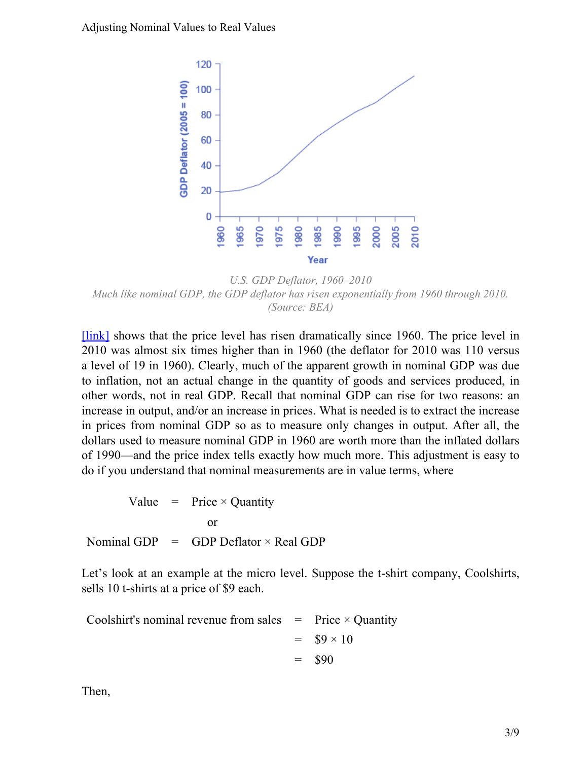<span id="page-2-0"></span>Adjusting Nominal Values to Real Values



*U.S. GDP Deflator, 1960–2010 Much like nominal GDP, the GDP deflator has risen exponentially from 1960 through 2010. (Source: BEA)*

[\[link\]](#page-2-0) shows that the price level has risen dramatically since 1960. The price level in 2010 was almost six times higher than in 1960 (the deflator for 2010 was 110 versus a level of 19 in 1960). Clearly, much of the apparent growth in nominal GDP was due to inflation, not an actual change in the quantity of goods and services produced, in other words, not in real GDP. Recall that nominal GDP can rise for two reasons: an increase in output, and/or an increase in prices. What is needed is to extract the increase in prices from nominal GDP so as to measure only changes in output. After all, the dollars used to measure nominal GDP in 1960 are worth more than the inflated dollars of 1990—and the price index tells exactly how much more. This adjustment is easy to do if you understand that nominal measurements are in value terms, where

Value = Nominal GDP = Price × Quantity or GDP Deflator  $\times$  Real GDP

Let's look at an example at the micro level. Suppose the t-shirt company, Coolshirts, sells 10 t-shirts at a price of \$9 each.

Coolshirt's nominal revenue from sales = = = Price  $\times$  Quantity  $$9 \times 10$ \$90

Then,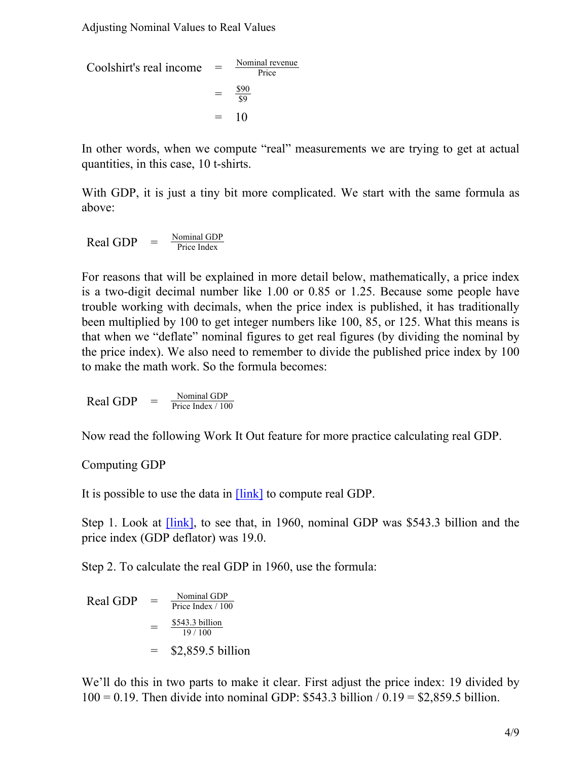Adjusting Nominal Values to Real Values

Coolshirt's real income

\n
$$
= \frac{\text{Nominal revenue}}{\text{Price}}
$$
\n
$$
= \frac{\$90}{\$9}
$$
\n
$$
= 10
$$

In other words, when we compute "real" measurements we are trying to get at actual quantities, in this case, 10 t-shirts.

With GDP, it is just a tiny bit more complicated. We start with the same formula as above:

Real GDP  $=$   $\frac{\text{Nominal GDP}}{\text{Price Index}}$ Price Index

For reasons that will be explained in more detail below, mathematically, a price index is a two-digit decimal number like 1.00 or 0.85 or 1.25. Because some people have trouble working with decimals, when the price index is published, it has traditionally been multiplied by 100 to get integer numbers like 100, 85, or 125. What this means is that when we "deflate" nominal figures to get real figures (by dividing the nominal by the price index). We also need to remember to divide the published price index by 100 to make the math work. So the formula becomes:

$$
Real GDP = \frac{Normal GDP}{Price Index / 100}
$$

Now read the following Work It Out feature for more practice calculating real GDP.

#### Computing GDP

It is possible to use the data in **[\[link\]](#page-0-0)** to compute real GDP.

Step 1. Look at [\[link\],](#page-0-0) to see that, in 1960, nominal GDP was \$543.3 billion and the price index (GDP deflator) was 19.0.

Step 2. To calculate the real GDP in 1960, use the formula:

Real GDP = 
$$
\frac{\text{Nominal GDP}}{\text{Price Index} / 100}
$$
  
= 
$$
\frac{\$543.3 \text{ billion}}{19 / 100}
$$
  
= 
$$
\$2,859.5 \text{ billion}
$$

We'll do this in two parts to make it clear. First adjust the price index: 19 divided by  $100 = 0.19$ . Then divide into nominal GDP: \$543.3 billion /  $0.19 = $2,859.5$  billion.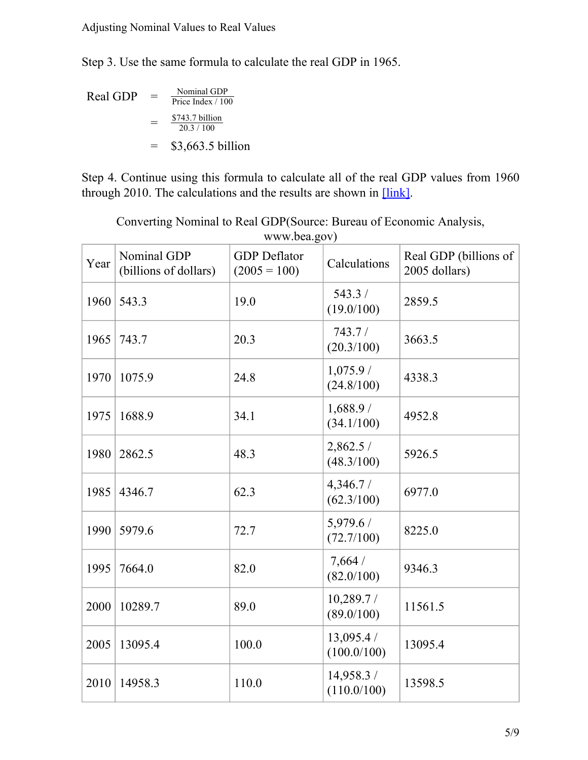Step 3. Use the same formula to calculate the real GDP in 1965.

 $Real GDP =$  $=\frac{$743.7 \text{ billion}}{20.3/100}$ = \$3,663.5 billion Nominal GDP Price Index / 100 20.3 / 100

Step 4. Continue using this formula to calculate all of the real GDP values from 1960 through 2010. The calculations and the results are shown in [\[link\].](#page-4-0)

Converting Nominal to Real GDP(Source: Bureau of Economic Analysis,

<span id="page-4-0"></span>

| Year | Nominal GDP<br>(billions of dollars) | <b>GDP</b> Deflator<br>$(2005 = 100)$ | Calculations             | Real GDP (billions of<br>2005 dollars) |
|------|--------------------------------------|---------------------------------------|--------------------------|----------------------------------------|
| 1960 | 543.3                                | 19.0                                  | 543.3/<br>(19.0/100)     | 2859.5                                 |
| 1965 | 743.7                                | 20.3                                  | 743.7/<br>(20.3/100)     | 3663.5                                 |
| 1970 | 1075.9                               | 24.8                                  | 1,075.9/<br>(24.8/100)   | 4338.3                                 |
| 1975 | 1688.9                               | 34.1                                  | 1,688.9/<br>(34.1/100)   | 4952.8                                 |
| 1980 | 2862.5                               | 48.3                                  | 2,862.5/<br>(48.3/100)   | 5926.5                                 |
| 1985 | 4346.7                               | 62.3                                  | 4,346.7/<br>(62.3/100)   | 6977.0                                 |
| 1990 | 5979.6                               | 72.7                                  | 5,979.6/<br>(72.7/100)   | 8225.0                                 |
| 1995 | 7664.0                               | 82.0                                  | 7,664/<br>(82.0/100)     | 9346.3                                 |
| 2000 | 10289.7                              | 89.0                                  | 10,289.7/<br>(89.0/100)  | 11561.5                                |
| 2005 | 13095.4                              | 100.0                                 | 13,095.4/<br>(100.0/100) | 13095.4                                |
| 2010 | 14958.3                              | 110.0                                 | 14,958.3/<br>(110.0/100) | 13598.5                                |

www.bea.gov)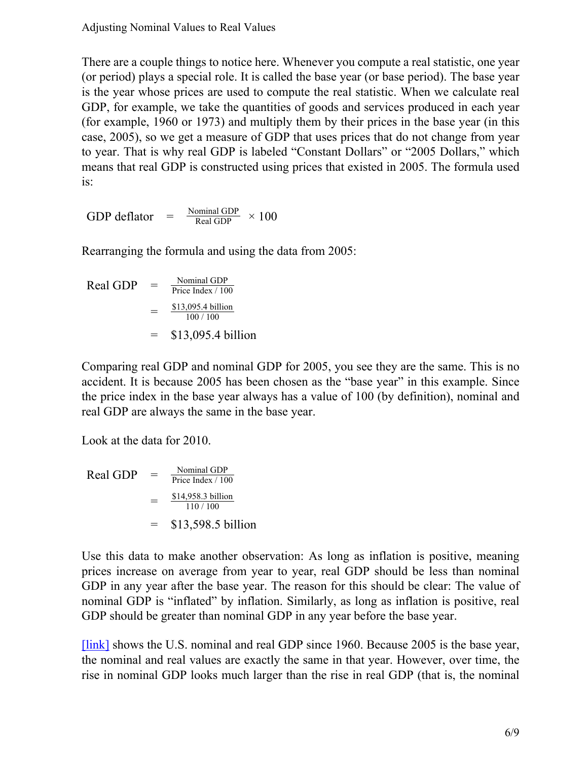There are a couple things to notice here. Whenever you compute a real statistic, one year (or period) plays a special role. It is called the base year (or base period). The base year is the year whose prices are used to compute the real statistic. When we calculate real GDP, for example, we take the quantities of goods and services produced in each year (for example, 1960 or 1973) and multiply them by their prices in the base year (in this case, 2005), so we get a measure of GDP that uses prices that do not change from year to year. That is why real GDP is labeled "Constant Dollars" or "2005 Dollars," which means that real GDP is constructed using prices that existed in 2005. The formula used is:

GDP deflator =  $\frac{\text{Nominal GDP}}{\text{Real GDP}} \times 100$ 

Rearranging the formula and using the data from 2005:

Real GDP  $=$   $\frac{\text{Nominal GDP}}{\text{Price Index}/10}$  $=\frac{$13,095.4 \text{ billion}}{100/100}$ = \$13,095.4 billion Price Index / 100 100 / 100

Comparing real GDP and nominal GDP for 2005, you see they are the same. This is no accident. It is because 2005 has been chosen as the "base year" in this example. Since the price index in the base year always has a value of 100 (by definition), nominal and real GDP are always the same in the base year.

Look at the data for 2010.

Real GDP  $=$   $\frac{\text{Nominal GDP}}{\text{Price Index}/10}$  $=\frac{$14,958.3 \text{ billion}}{110/100}$ = \$13,598.5 billion Price Index / 100  $110/100$ 

Use this data to make another observation: As long as inflation is positive, meaning prices increase on average from year to year, real GDP should be less than nominal GDP in any year after the base year. The reason for this should be clear: The value of nominal GDP is "inflated" by inflation. Similarly, as long as inflation is positive, real GDP should be greater than nominal GDP in any year before the base year.

[\[link\]](#page-6-0) shows the U.S. nominal and real GDP since 1960. Because 2005 is the base year, the nominal and real values are exactly the same in that year. However, over time, the rise in nominal GDP looks much larger than the rise in real GDP (that is, the nominal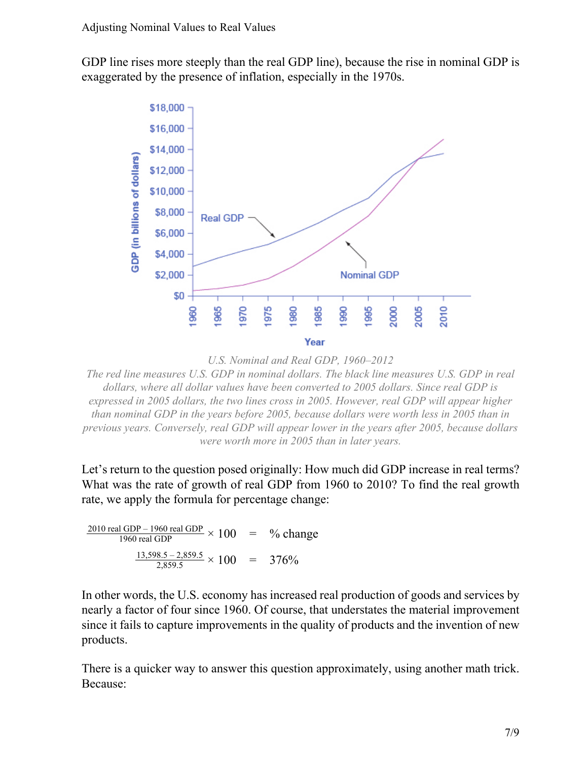<span id="page-6-0"></span>GDP line rises more steeply than the real GDP line), because the rise in nominal GDP is exaggerated by the presence of inflation, especially in the 1970s.



*U.S. Nominal and Real GDP, 1960–2012*

*The red line measures U.S. GDP in nominal dollars. The black line measures U.S. GDP in real dollars, where all dollar values have been converted to 2005 dollars. Since real GDP is expressed in 2005 dollars, the two lines cross in 2005. However, real GDP will appear higher than nominal GDP in the years before 2005, because dollars were worth less in 2005 than in previous years. Conversely, real GDP will appear lower in the years after 2005, because dollars were worth more in 2005 than in later years.*

Let's return to the question posed originally: How much did GDP increase in real terms? What was the rate of growth of real GDP from 1960 to 2010? To find the real growth rate, we apply the formula for percentage change:

$$
\frac{2010 \text{ real GDP} - 1960 \text{ real GDP}}{1960 \text{ real GDP}} \times 100 = % change
$$
  

$$
\frac{13,598.5 - 2,859.5}{2,859.5} \times 100 = 376\%
$$

In other words, the U.S. economy has increased real production of goods and services by nearly a factor of four since 1960. Of course, that understates the material improvement since it fails to capture improvements in the quality of products and the invention of new products.

There is a quicker way to answer this question approximately, using another math trick. Because: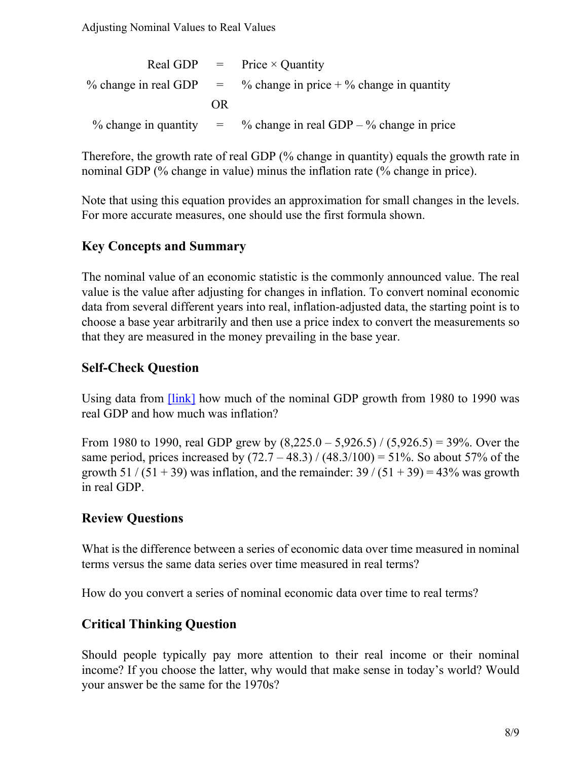|     | Real GDP $=$ Price $\times$ Quantity                              |
|-----|-------------------------------------------------------------------|
|     | % change in real GDP $=$ % change in price + % change in quantity |
| OR. |                                                                   |
|     | % change in quantity $=$ % change in real GDP – % change in price |

Therefore, the growth rate of real GDP (% change in quantity) equals the growth rate in nominal GDP (% change in value) minus the inflation rate (% change in price).

Note that using this equation provides an approximation for small changes in the levels. For more accurate measures, one should use the first formula shown.

### **Key Concepts and Summary**

The nominal value of an economic statistic is the commonly announced value. The real value is the value after adjusting for changes in inflation. To convert nominal economic data from several different years into real, inflation-adjusted data, the starting point is to choose a base year arbitrarily and then use a price index to convert the measurements so that they are measured in the money prevailing in the base year.

#### **Self-Check Question**

Using data from [\[link\]](#page-0-0) how much of the nominal GDP growth from 1980 to 1990 was real GDP and how much was inflation?

From 1980 to 1990, real GDP grew by  $(8,225.0 - 5,926.5) / (5,926.5) = 39\%$ . Over the same period, prices increased by  $(72.7 - 48.3) / (48.3/100) = 51\%$ . So about 57% of the growth 51 / (51 + 39) was inflation, and the remainder:  $39 / (51 + 39) = 43\%$  was growth in real GDP.

#### **Review Questions**

What is the difference between a series of economic data over time measured in nominal terms versus the same data series over time measured in real terms?

How do you convert a series of nominal economic data over time to real terms?

### **Critical Thinking Question**

Should people typically pay more attention to their real income or their nominal income? If you choose the latter, why would that make sense in today's world? Would your answer be the same for the 1970s?